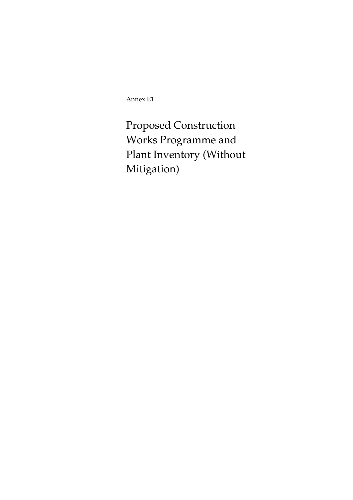Annex E1

Proposed Construction Works Programme and Plant Inventory (Without Mitigation)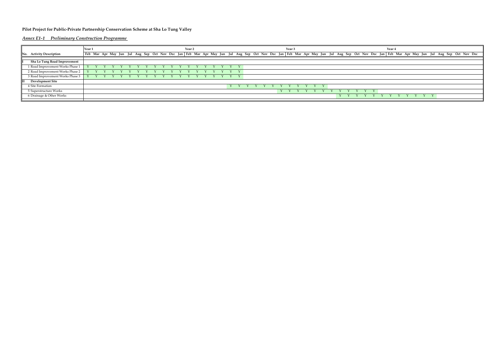## **Pilot Project for Public-Private Partnership Conservation Scheme at Sha Lo Tung Valley**

*Annex E1-1 Preliminary Construction Programme* 

|                                  | Year 1 |  |  |  | Year <sub>2</sub> |  |  |              |  |  |  | Year 3 |  |  |              |  | Year 4 |  |  |  |             |  |  |  |              |  |  |  |  |  |                                                                                                                                                                                                                                |  |  |
|----------------------------------|--------|--|--|--|-------------------|--|--|--------------|--|--|--|--------|--|--|--------------|--|--------|--|--|--|-------------|--|--|--|--------------|--|--|--|--|--|--------------------------------------------------------------------------------------------------------------------------------------------------------------------------------------------------------------------------------|--|--|
| No. Activity Description         |        |  |  |  |                   |  |  |              |  |  |  |        |  |  |              |  |        |  |  |  |             |  |  |  |              |  |  |  |  |  | Feb Mar Apr May Jun Jul Aug Sep Oct Nov Dec Jan Feb Mar Apr May Jun Jul Aug Sep Oct Nov Dec Jan Feb Mar Apr May Jun Jul Aug Sep Oct Nov Dec Jan Feb Mar Apr May Jun Jul Aug Sep Oct Nov Dec Jan Feb Mar Apr May Jun Jul Aug Se |  |  |
|                                  |        |  |  |  |                   |  |  |              |  |  |  |        |  |  |              |  |        |  |  |  |             |  |  |  |              |  |  |  |  |  |                                                                                                                                                                                                                                |  |  |
| Sha Lo Tung Road Improvement     |        |  |  |  |                   |  |  |              |  |  |  |        |  |  |              |  |        |  |  |  |             |  |  |  |              |  |  |  |  |  |                                                                                                                                                                                                                                |  |  |
| 1 Road Improvement Works Phase 1 |        |  |  |  |                   |  |  |              |  |  |  |        |  |  | $\mathbf{v}$ |  |        |  |  |  |             |  |  |  |              |  |  |  |  |  |                                                                                                                                                                                                                                |  |  |
| 2 Road Improvement Works Phase 2 |        |  |  |  |                   |  |  |              |  |  |  |        |  |  |              |  |        |  |  |  |             |  |  |  |              |  |  |  |  |  |                                                                                                                                                                                                                                |  |  |
| 3 Road Improvement Works Phase 3 |        |  |  |  |                   |  |  | $\mathbf{v}$ |  |  |  |        |  |  |              |  |        |  |  |  |             |  |  |  |              |  |  |  |  |  |                                                                                                                                                                                                                                |  |  |
| <b>Development Site</b>          |        |  |  |  |                   |  |  |              |  |  |  |        |  |  |              |  |        |  |  |  |             |  |  |  |              |  |  |  |  |  |                                                                                                                                                                                                                                |  |  |
| 4 Site Formation                 |        |  |  |  |                   |  |  |              |  |  |  |        |  |  |              |  |        |  |  |  |             |  |  |  |              |  |  |  |  |  |                                                                                                                                                                                                                                |  |  |
| 5 Superstructure Works           |        |  |  |  |                   |  |  |              |  |  |  |        |  |  |              |  |        |  |  |  | $Y$ $Y$ $Y$ |  |  |  | YYYYYYY      |  |  |  |  |  |                                                                                                                                                                                                                                |  |  |
| 6 Drainage & Other Works         |        |  |  |  |                   |  |  |              |  |  |  |        |  |  |              |  |        |  |  |  |             |  |  |  | $\mathbf{Y}$ |  |  |  |  |  |                                                                                                                                                                                                                                |  |  |
|                                  |        |  |  |  |                   |  |  |              |  |  |  |        |  |  |              |  |        |  |  |  |             |  |  |  |              |  |  |  |  |  |                                                                                                                                                                                                                                |  |  |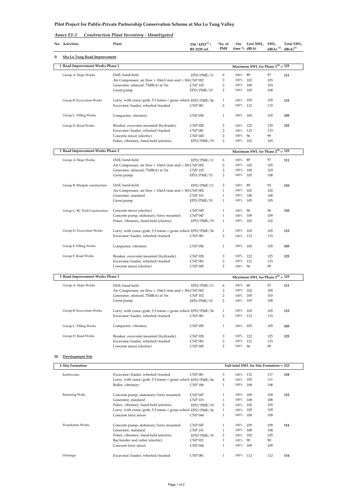| Annex E1-2 | Construction Plant Inventory - Unmitigated |  |
|------------|--------------------------------------------|--|
|            |                                            |  |

|     | No. Activities                      | Plant                                                                                             | TM / EPD <sup>[1]</sup> /<br>BS 5228 ref. | No. of<br><b>PME</b> | On-<br>time $% dB(A)$ | Unit SWL,                              | SWL,<br>$dB(A)$ <sup>[2]</sup> | Total SWL,<br>$dB(A)^{[2]}$ |
|-----|-------------------------------------|---------------------------------------------------------------------------------------------------|-------------------------------------------|----------------------|-----------------------|----------------------------------------|--------------------------------|-----------------------------|
| I)  | <b>Sha Lo Tung Road Improvement</b> |                                                                                                   |                                           |                      |                       |                                        |                                |                             |
|     | 1 Road Improvement Works Phase 1    |                                                                                                   |                                           |                      |                       | Maximum SWL for Phase $1^{[4]} = 125$  |                                |                             |
|     | Group A: Slope Works                | Drill, hand-held                                                                                  | EPD/PME/11                                | 6                    | 100%                  | 89                                     | 97                             | 111                         |
|     |                                     | Air Compressor, air flow > 10m3/min and < 30r CNP 002                                             |                                           | 2                    | 100%                  | 102                                    | 105                            |                             |
|     |                                     | Generator, silenced, 75dB(A) at 7m                                                                | <b>CNP 102</b>                            | 2                    | 100%                  | 100                                    | 103                            |                             |
|     |                                     | Grout pump                                                                                        | EPD/PME/15                                | 2                    | 100%                  | 105                                    | 108                            |                             |
|     | Group B: Excavation Works           | Lorry, with crane/grab, 5.5 tonne < gross vehicl EPD/PME/36                                       |                                           | 1                    | 100%                  | 105                                    | 105                            | 115                         |
|     |                                     | Excavator/loader, wheeled/tracked                                                                 | <b>CNP 081</b>                            | 2                    | 100%                  | 112                                    | 115                            |                             |
|     |                                     |                                                                                                   |                                           |                      |                       |                                        |                                |                             |
|     | Group C: Filling Works              | Compactor, vibratory                                                                              | <b>CNP 050</b>                            | $\mathbf{1}$         | 100%                  | 105                                    | 105                            | 105                         |
|     | Group D: Road Works                 | Breaker, excavator mounted (hydraulic)                                                            | <b>CNP 028</b>                            | 2                    | 100%                  | 122                                    | 125                            | 125                         |
|     |                                     | Excavator/loader, wheeled/tracked                                                                 | <b>CNP 081</b>                            | $\overline{c}$       | 100%                  | 112                                    | 115                            |                             |
|     |                                     | Concrete mixer (electric)                                                                         | <b>CNP 045</b>                            | 2                    | 100%                  | 96                                     | 99                             |                             |
|     |                                     | Poker, vibratory, hand-held (electric)                                                            | EPD/PME/19                                | 2                    | 100%                  | 102                                    | 105                            |                             |
|     |                                     |                                                                                                   |                                           |                      |                       |                                        |                                |                             |
|     | 2 Road Improvement Works Phase 2    |                                                                                                   |                                           |                      |                       | Maximum SWL for Phase $2^{[4]} = 125$  |                                |                             |
|     | Group A: Slope Works                | Drill, hand-held                                                                                  | EPD/PME/11                                | 6                    | 100%                  | 89                                     | 97                             | 111                         |
|     |                                     | Air Compressor, air flow > 10m3/min and < 30r CNP 002                                             |                                           | 2                    | 100%                  | 102                                    | 105                            |                             |
|     |                                     | Generator, silenced, 75dB(A) at 7m                                                                | <b>CNP 102</b>                            | 2                    | 100%                  | 100                                    | 103                            |                             |
|     |                                     | Grout pump                                                                                        | EPD/PME/15                                | 2                    | 100%                  | 105                                    | 108                            |                             |
|     | Group B: Minipile construction      | Drill, hand-held                                                                                  | EPD/PME/11                                | 2                    | 100%                  | 89                                     | 92                             | 110                         |
|     |                                     | Air Compressor, air flow > 10m3/min and < 30r CNP 002                                             |                                           | $\mathbf{1}$         | 100%                  | 102                                    | 102                            |                             |
|     |                                     | Generator, standard                                                                               | <b>CNP 101</b>                            | $1\,$                | 100%                  | 108                                    | 108                            |                             |
|     |                                     | Grout pump                                                                                        | EPD/PME/15                                | $\mathbf{1}$         | 100%                  | 105                                    | 105                            |                             |
|     |                                     |                                                                                                   |                                           |                      |                       |                                        |                                |                             |
|     | Group C: RC Wall Construction       | Concrete mixer (electric)                                                                         | <b>CNP 045</b>                            | $\mathbf{1}$         | 100%                  | 96                                     | 96                             | 110                         |
|     |                                     | Concrete pump, stationary/lorry mounted                                                           | <b>CNP 047</b>                            | $\mathbf{1}$         | 100%                  | 109                                    | 109                            |                             |
|     |                                     | Poker, vibratory, hand-held (electric)                                                            | EPD/PME/19                                | $\mathbf{1}$         | 100%                  | 102                                    | 102                            |                             |
|     | Group D: Excavation Works           |                                                                                                   |                                           | $\mathbf{1}$         | 100%                  | 105                                    | 105                            | 115                         |
|     |                                     | Lorry, with crane/grab, 5.5 tonne < gross vehicle EPD/PME/36<br>Excavator/loader, wheeled/tracked | <b>CNP 081</b>                            | 2                    | 100%                  | 112                                    | 115                            |                             |
|     |                                     |                                                                                                   |                                           |                      |                       |                                        |                                |                             |
|     | Group E: Filling Works              | Compactor, vibratory                                                                              | <b>CNP 050</b>                            | $\mathbf{1}$         | 100%                  | 105                                    | 105                            | 105                         |
|     |                                     |                                                                                                   |                                           |                      |                       |                                        |                                |                             |
|     | Group F: Road Works                 | Breaker, excavator mounted (hydraulic)                                                            | <b>CNP 028</b>                            | 2                    | 100%                  | 122                                    | 125                            | 125                         |
|     |                                     | Excavator/loader, wheeled/tracked                                                                 | <b>CNP 081</b>                            | $\overline{2}$       | 100%                  | 112                                    | 115                            |                             |
|     |                                     | Concrete mixer (electric)                                                                         | <b>CNP 045</b>                            | $\overline{2}$       | 100%                  | 96                                     | 99                             |                             |
|     | 3 Road Improvement Works Phase 3    |                                                                                                   |                                           |                      |                       | Maximum SWL for Phase $3^{[4]} = 125$  |                                |                             |
|     |                                     |                                                                                                   |                                           |                      |                       |                                        |                                |                             |
|     | Group A: Slope Works                | Drill, hand-held                                                                                  | EPD/PME/11                                | 6                    | 100%                  | 89                                     | 97                             | 111                         |
|     |                                     | Air Compressor, air flow > 10m3/min and < 30r CNP 002                                             |                                           | 2<br>2               | 100%<br>100%          | 102                                    | 105                            |                             |
|     |                                     | Generator, silenced, 75dB(A) at 7m<br>Grout pump                                                  | <b>CNP 102</b><br>EPD/PME/15              | $\overline{2}$       | 100%                  | 100<br>105                             | 103<br>108                     |                             |
|     |                                     |                                                                                                   |                                           |                      |                       |                                        |                                |                             |
|     | Group B: Excavation Works           | Lorry, with crane/grab, 5.5 tonne < gross vehicl EPD/PME/36                                       |                                           | $\mathbf{1}$         | 100%                  | 105                                    | 105                            | 115                         |
|     |                                     | Excavator/loader, wheeled/tracked                                                                 | <b>CNP 081</b>                            | $\overline{2}$       | 100%                  | 112                                    | 115                            |                             |
|     |                                     |                                                                                                   |                                           |                      |                       |                                        |                                |                             |
|     | Group C: Filling Works              | Compactor, vibratory                                                                              | <b>CNP 050</b>                            | $\mathbf{1}$         | 100%                  | 105                                    | 105                            | 105                         |
|     |                                     |                                                                                                   |                                           |                      |                       |                                        |                                |                             |
|     | Group D: Road Works                 | Breaker, excavator mounted (hydraulic)<br>Excavator/loader, wheeled/tracked                       | <b>CNP 028</b><br><b>CNP 081</b>          | 2<br>2               | 100%<br>100%          | 122<br>112                             | 125<br>115                     | 125                         |
|     |                                     | Concrete mixer (electric)                                                                         | <b>CNP 045</b>                            | 2                    | 100%                  | 96                                     | 99                             |                             |
|     |                                     |                                                                                                   |                                           |                      |                       |                                        |                                |                             |
| II) | Development Site                    |                                                                                                   |                                           |                      |                       |                                        |                                |                             |
|     | <b>4 Site Formation</b>             |                                                                                                   |                                           |                      |                       | Sub-total SWL for Site Formation = 123 |                                |                             |
|     |                                     |                                                                                                   |                                           |                      |                       |                                        |                                |                             |
|     | Earthworks                          | Excavator/loader, wheeled/tracked                                                                 | <b>CNP 081</b>                            | 3<br>$\overline{4}$  | 100%<br>100%          | 112<br>105                             | 117                            | 118                         |
|     |                                     | Lorry, with crane/grab, 5.5 tonne < gross vehicl EPD/PME/36<br>Roller, vibratory                  | <b>CNP 186</b>                            | $\mathbf{1}$         | 100%                  | 108                                    | 111<br>108                     |                             |
|     |                                     |                                                                                                   |                                           |                      |                       |                                        |                                |                             |
|     | Retaining Walls                     | Concrete pump, stationary/lorry mounted                                                           | <b>CNP 047</b>                            | $\mathbf{1}$         | 100%                  | 109                                    | 109                            | 115                         |
|     |                                     | Generator, standard                                                                               | <b>CNP 101</b>                            | $\mathbf{1}$         | 100%                  | 108                                    | 108                            |                             |
|     |                                     | Poker, vibratory, hand-held (electric)                                                            | EPD/PME/19                                | 2                    | 100%                  | 102                                    | 105                            |                             |
|     |                                     | Lorry, with crane/grab, 5.5 tonne < gross vehicl EPD/PME/36                                       |                                           | $\mathbf{1}$         | 100%                  | 105                                    | 105                            |                             |
|     |                                     | Concrete lorry mixer                                                                              | <b>CNP 044</b>                            | $\mathbf{1}$         | 100%                  | 109                                    | 109                            |                             |
|     |                                     |                                                                                                   |                                           |                      |                       |                                        |                                |                             |
|     | Foundation Works                    | Concrete pump, stationary/lorry mounted                                                           | <b>CNP 047</b>                            | $\mathbf{1}$         | 100%                  | 109                                    | 109                            | 114                         |
|     |                                     | Generator, standard<br>Poker, vibratory, hand-held (electric)                                     | <b>CNP 101</b>                            | $\mathbf{1}$<br>2    | 100%<br>100%          | 108<br>102                             | 108<br>105                     |                             |
|     |                                     | Bar bender and cutter (electric)                                                                  | EPD/PME/19<br><b>CNP 021</b>              | $\mathbf{1}$         | 100%                  | 90                                     | 90                             |                             |
|     |                                     | Concrete lorry mixer                                                                              | <b>CNP 044</b>                            | $\mathbf{1}$         | 100%                  | 109                                    | 109                            |                             |
|     |                                     |                                                                                                   |                                           |                      |                       |                                        |                                |                             |
|     | Drainage                            | Excavator/loader, wheeled/tracked                                                                 | <b>CNP 081</b>                            | $\mathbf{1}$         | 100% 112              |                                        | 112                            | 114                         |